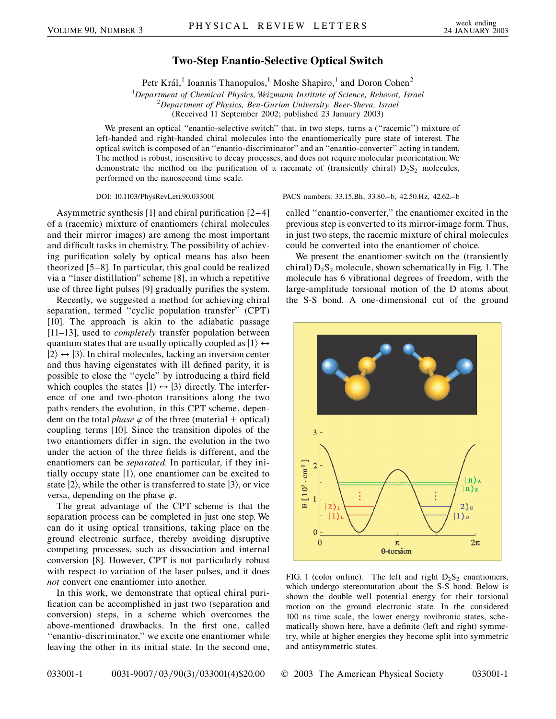## **Two-Step Enantio-Selective Optical Switch**

Petr Král,<sup>1</sup> Ioannis Thanopulos,<sup>1</sup> Moshe Shapiro,<sup>1</sup> and Doron Cohen<sup>2</sup>

<sup>1</sup>Department of Chemical Physics, Weizmann Institute of Science, Rehovot, Israel<br><sup>2</sup>Department of Physics, Ban Gurian University, Beer Shava, Israel *Department of Physics, Ben-Gurion University, Beer-Sheva, Israel* (Received 11 September 2002; published 23 January 2003)

We present an optical "enantio-selective switch" that, in two steps, turns a ("racemic") mixture of left-handed and right-handed chiral molecules into the enantiomerically pure state of interest. The optical switch is composed of an ''enantio-discriminator'' and an ''enantio-converter'' acting in tandem. The method is robust, insensitive to decay processes, and does not require molecular preorientation. We demonstrate the method on the purification of a racemate of (transiently chiral)  $D_2S_2$  molecules, performed on the nanosecond time scale.

Asymmetric synthesis [1] and chiral purification [2–4] of a (racemic) mixture of enantiomers (chiral molecules and their mirror images) are among the most important and difficult tasks in chemistry. The possibility of achieving purification solely by optical means has also been theorized [5–8]. In particular, this goal could be realized via a ''laser distillation'' scheme [8], in which a repetitive use of three light pulses [9] gradually purifies the system.

Recently, we suggested a method for achieving chiral separation, termed ''cyclic population transfer'' (CPT) [10]. The approach is akin to the adiabatic passage [11–13], used to *completely* transfer population between quantum states that are usually optically coupled as  $|1\rangle \leftrightarrow$  $|2\rangle \leftrightarrow |3\rangle$ . In chiral molecules, lacking an inversion center and thus having eigenstates with ill defined parity, it is possible to close the ''cycle'' by introducing a third field which couples the states  $|1\rangle \leftrightarrow |3\rangle$  directly. The interference of one and two-photon transitions along the two paths renders the evolution, in this CPT scheme, dependent on the total *phase*  $\varphi$  of the three (material + optical) coupling terms [10]. Since the transition dipoles of the two enantiomers differ in sign, the evolution in the two under the action of the three fields is different, and the enantiomers can be *separated.* In particular, if they initially occupy state  $|1\rangle$ , one enantiomer can be excited to state  $|2\rangle$ , while the other is transferred to state  $|3\rangle$ , or vice versa, depending on the phase  $\varphi$ .

The great advantage of the CPT scheme is that the separation process can be completed in just one step. We can do it using optical transitions, taking place on the ground electronic surface, thereby avoiding disruptive competing processes, such as dissociation and internal conversion [8]. However, CPT is not particularly robust with respect to variation of the laser pulses, and it does *not* convert one enantiomer into another.

In this work, we demonstrate that optical chiral purification can be accomplished in just two (separation and conversion) steps, in a scheme which overcomes the above-mentioned drawbacks. In the first one, called ''enantio-discriminator,'' we excite one enantiomer while leaving the other in its initial state. In the second one,

DOI: 10.1103/PhysRevLett.90.033001 PACS numbers: 33.15.Bh, 33.80.–b, 42.50.Hz, 42.62.–b

called ''enantio-converter,'' the enantiomer excited in the previous step is converted to its mirror-image form. Thus, in just two steps, the racemic mixture of chiral molecules could be converted into the enantiomer of choice.

We present the enantiomer switch on the (transiently chiral)  $D_2S_2$  molecule, shown schematically in Fig. 1. The molecule has 6 vibrational degrees of freedom, with the large-amplitude torsional motion of the D atoms about the S-S bond. A one-dimensional cut of the ground



FIG. 1 (color online). The left and right  $D_2S_2$  enantiomers, which undergo stereomutation about the S-S bond. Below is shown the double well potential energy for their torsional motion on the ground electronic state. In the considered 100 ns time scale, the lower energy rovibronic states, schematically shown here, have a definite (left and right) symmetry, while at higher energies they become split into symmetric and antisymmetric states.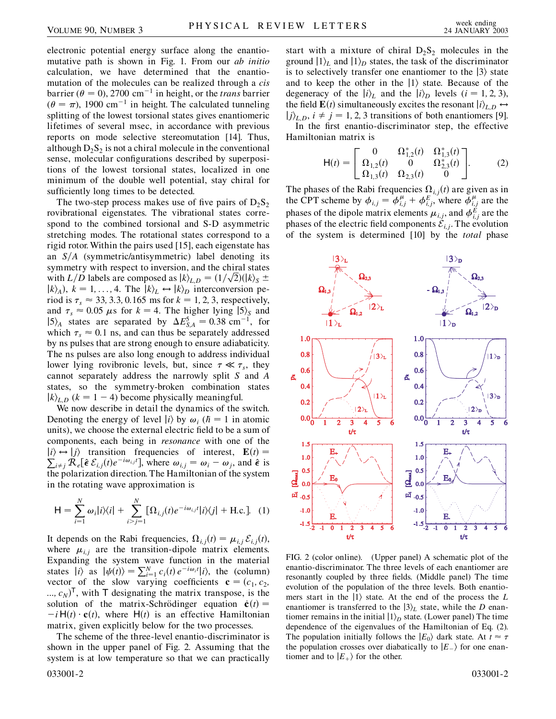electronic potential energy surface along the enantiomutative path is shown in Fig. 1. From our *ab initio* calculation, we have determined that the enantiomutation of the molecules can be realized through a *cis* barrier ( $\theta = 0$ ), 2700 cm<sup>-1</sup> in height, or the *trans* barrier  $(\theta = \pi)$ , 1900 cm<sup>-1</sup> in height. The calculated tunneling splitting of the lowest torsional states gives enantiomeric lifetimes of several msec, in accordance with previous reports on mode selective stereomutation [14]. Thus, although  $D_2S_2$  is not a chiral molecule in the conventional sense, molecular configurations described by superpositions of the lowest torsional states, localized in one minimum of the double well potential, stay chiral for sufficiently long times to be detected.

The two-step process makes use of five pairs of  $D_2S_2$ rovibrational eigenstates. The vibrational states correspond to the combined torsional and S-D asymmetric stretching modes. The rotational states correspond to a rigid rotor. Within the pairs used [15], each eigenstate has an  $S/A$  (symmetric/antisymmetric) label denoting its symmetry with respect to inversion, and the chiral states symmetry with respect to inversion, and the chiral states<br>with  $L/D$  labels are composed as  $|k\rangle_{L,D} = (1/\sqrt{2})(|k\rangle_{S} \pm$  $|k\rangle_A$ ,  $k = 1, \ldots, 4$ . The  $|k\rangle_L \leftrightarrow |k\rangle_D$  interconversion period is  $\tau_s \approx 33, 3.3, 0.165$  ms for  $k = 1, 2, 3$ , respectively, and  $\tau_s \approx 0.05 \mu s$  for  $k = 4$ . The higher lying  $|5\rangle_s$  and  $|5\rangle_A$  states are separated by  $\Delta E_{S,A}^5 = 0.38$  cm<sup>-1</sup>, for which  $\tau_s \approx 0.1$  ns, and can thus be separately addressed by ns pulses that are strong enough to ensure adiabaticity. The ns pulses are also long enough to address individual lower lying rovibronic levels, but, since  $\tau \ll \tau_s$ , they cannot separately address the narrowly split *S* and *A* states, so the symmetry-broken combination states  $|k\rangle$ <sub>*L<sub>D</sub>* ( $k = 1 - 4$ ) become physically meaningful.</sub>

We now describe in detail the dynamics of the switch. Denoting the energy of level  $|i\rangle$  by  $\omega_i$  ( $\hbar = 1$  in atomic units), we choose the external electric field to be a sum of components, each being in *resonance* with one of the  $|i\rangle \leftrightarrow |j\rangle$  transition frequencies of interest, **E***(t)* =  $\sum_{i \neq j} R_e[\hat{\epsilon} \mathcal{E}_{i,j}(t)e^{-i\omega_{i,j}t}]$ , where  $\omega_{i,j} = \omega_i - \omega_j$ , and  $\hat{\epsilon}$  is the polarization direction. The Hamiltonian of the system in the rotating wave approximation is

$$
H = \sum_{i=1}^{N} \omega_i |i\rangle\langle i| + \sum_{i>j=1}^{N} [\Omega_{i,j}(t)e^{-i\omega_{i,j}t}|i\rangle\langle j| + \text{H.c.}]. \tag{1}
$$

It depends on the Rabi frequencies,  $\Omega_{i,j}(t) = \mu_{i,j} \mathcal{E}_{i,j}(t)$ , where  $\mu_{i,j}$  are the transition-dipole matrix elements. Expanding the system wave function in the material states  $|i\rangle$  as  $|\psi(t)\rangle = \sum_{i=1}^{N} c_i(t) e^{-i\omega_i t} |i\rangle$ , the (column) vector of the slow varying coefficients  $\mathbf{c} = (c_1, c_2, c_3)$  $(i, c_N)^\mathsf{T}$ , with  $\mathsf{T}$  designating the matrix transpose, is the solution of the matrix-Schrödinger equation  $\dot{\mathbf{c}}(t)$  =  $-iH(t) \cdot c(t)$ , where  $H(t)$  is an effective Hamiltonian matrix, given explicitly below for the two processes.

The scheme of the three-level enantio-discriminator is shown in the upper panel of Fig. 2. Assuming that the system is at low temperature so that we can practically 033001-2 033001-2

start with a mixture of chiral  $D_2S_2$  molecules in the ground  $|1\rangle$ <sub>*L*</sub> and  $|1\rangle$ <sub>*D*</sub> states, the task of the discriminator is to selectively transfer one enantiomer to the  $|3\rangle$  state and to keep the other in the  $|1\rangle$  state. Because of the degeneracy of the  $|i\rangle_L$  and the  $|i\rangle_D$  levels (*i* = 1, 2, 3), the field  $\mathbf{E}(t)$  simultaneously excites the resonant  $|i\rangle_{L,D} \leftrightarrow$  $|j\rangle_{L,D}$ ,  $i \neq j = 1, 2, 3$  transitions of both enantiomers [9].

In the first enantio-discriminator step, the effective Hamiltonian matrix is

$$
\mathsf{H}(t) = \begin{bmatrix} 0 & \Omega_{1,2}^*(t) & \Omega_{1,3}^*(t) \\ \Omega_{1,2}(t) & 0 & \Omega_{2,3}^*(t) \\ \Omega_{1,3}(t) & \Omega_{2,3}(t) & 0 \end{bmatrix}.
$$
 (2)

The phases of the Rabi frequencies  $\Omega_{i,j}(t)$  are given as in the CPT scheme by  $\phi_{i,j} = \phi_{i,j}^{\mu} + \phi_{i,j}^{E}$ , where  $\phi_{i,j}^{\mu}$  are the phases of the dipole matrix elements  $\mu_{i,j}$ , and  $\phi_{i,j}^E$  are the phases of the electric field components  $\tilde{\mathcal{E}}_{i,j}$ . The evolution of the system is determined [10] by the *total* phase



FIG. 2 (color online). (Upper panel) A schematic plot of the enantio-discriminator. The three levels of each enantiomer are resonantly coupled by three fields. (Middle panel) The time evolution of the population of the three levels. Both enantiomers start in the  $|1\rangle$  state. At the end of the process the *L* enantiomer is transferred to the  $|3\rangle$ <sub>L</sub> state, while the *D* enantiomer remains in the initial  $|1\rangle_D$  state. (Lower panel) The time dependence of the eigenvalues of the Hamiltonian of Eq. (2). The population initially follows the  $|E_0\rangle$  dark state. At  $t \approx \tau$ the population crosses over diabatically to  $|E_-\rangle$  for one enantiomer and to  $|E_{+}\rangle$  for the other.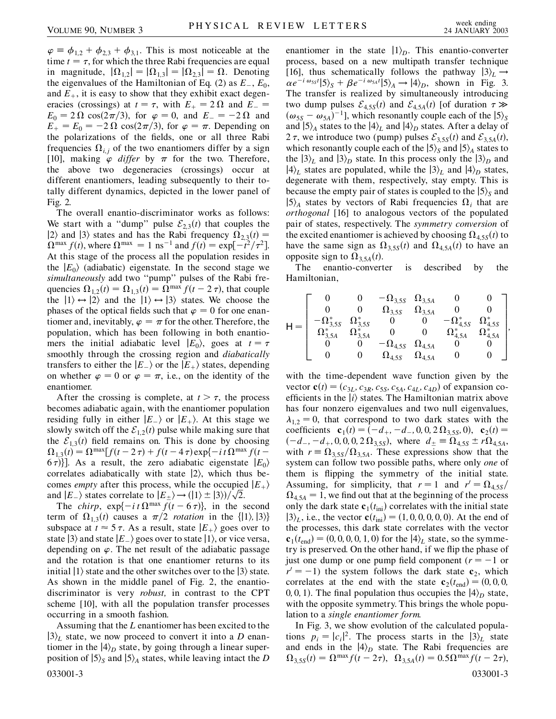$\varphi = \phi_{1,2} + \phi_{2,3} + \phi_{3,1}$ . This is most noticeable at the time  $t = \tau$ , for which the three Rabi frequencies are equal in magnitude,  $|\Omega_{1,2}| = |\Omega_{1,3}| = |\Omega_{2,3}| = \Omega$ . Denoting the eigenvalues of the Hamiltonian of Eq. (2) as  $E_-, E_0$ , and  $E_{+}$ , it is easy to show that they exhibit exact degeneracies (crossings) at  $t = \tau$ , with  $E_+ = 2 \Omega$  and  $E_- =$  $E_0 = 2 \Omega \cos(2\pi/3)$ , for  $\varphi = 0$ , and  $E_- = -2 \Omega$  and  $E_+ = E_0 = -2 \Omega \cos(2\pi/3)$ , for  $\varphi = \pi$ . Depending on the polarizations of the fields, one or all three Rabi frequencies  $\Omega_{i,j}$  of the two enantiomers differ by a sign [10], making  $\varphi$  *differ* by  $\pi$  for the two. Therefore, the above two degeneracies (crossings) occur at different enantiomers, leading subsequently to their totally different dynamics, depicted in the lower panel of Fig. 2.

The overall enantio-discriminator works as follows: We start with a "dump" pulse  $\mathcal{E}_{2,3}(t)$  that couples the  $|2\rangle$  and  $|3\rangle$  states and has the Rabi frequency  $\Omega_{2,3}(t)$  =  $\Omega^{\max} f(t)$ , where  $\Omega^{\max} = 1 \text{ ns}^{-1}$  and  $f(t) = \exp[-t^2/\tau^2]$ . At this stage of the process all the population resides in the  $|E_0\rangle$  (adiabatic) eigenstate. In the second stage we *simultaneously* add two ''pump'' pulses of the Rabi frequencies  $\Omega_{1,2}(t) = \Omega_{1,3}(t) = \Omega^{\max} f(t - 2\tau)$ , that couple the  $|1\rangle \leftrightarrow |2\rangle$  and the  $|1\rangle \leftrightarrow |3\rangle$  states. We choose the phases of the optical fields such that  $\varphi = 0$  for one enantiomer and, inevitably,  $\varphi = \pi$  for the other. Therefore, the population, which has been following in both enantiomers the initial adiabatic level  $|E_0\rangle$ , goes at  $t = \tau$ smoothly through the crossing region and *diabatically* transfers to either the  $|E_{-}\rangle$  or the  $|E_{+}\rangle$  states, depending on whether  $\varphi = 0$  or  $\varphi = \pi$ , i.e., on the identity of the enantiomer.

After the crossing is complete, at  $t > \tau$ , the process becomes adiabatic again, with the enantiomer population residing fully in either  $|E_-\rangle$  or  $|E_+\rangle$ . At this stage we slowly switch off the  $\mathcal{E}_{12}(t)$  pulse while making sure that the  $\mathcal{E}_{1,3}(t)$  field remains on. This is done by choosing  $\Omega_{1,3}(t) = \Omega^{\max}[f(t-2\tau) + f(t-4\tau)\exp\{-it\Omega^{\max}f(t-4\tau)\}\]$  $(6\tau)$ ]. As a result, the zero adiabatic eigenstate  $|E_0\rangle$ correlates adiabatically with state  $|2\rangle$ , which thus becomes *empty* after this process, while the occupied  $|E_{+}\rangle$ comes *empty* after this process, while the occupied<br>and  $|E_{-}\rangle$  states correlate to  $|E_{\pm}\rangle \rightarrow (|1\rangle \pm |3\rangle)/\sqrt{2}$ .

The *chirp*,  $\exp\{-i t \Omega^{\max} f(t - 6\tau)\}\$ , in the second term of  $\Omega_{1,3}(t)$  causes a  $\pi/2$  *rotation* in the  $\{|1\rangle, |3\rangle\}$ subspace at  $t \approx 5 \tau$ . As a result, state  $|E_{+}\rangle$  goes over to state  $|3\rangle$  and state  $|E_{-}\rangle$  goes over to state  $|1\rangle$ , or vice versa, depending on  $\varphi$ . The net result of the adiabatic passage and the rotation is that one enantiomer returns to its initial  $|1\rangle$  state and the other switches over to the  $|3\rangle$  state. As shown in the middle panel of Fig. 2, the enantiodiscriminator is very *robust,* in contrast to the CPT scheme [10], with all the population transfer processes occurring in a smooth fashion.

Assuming that the *L* enantiomer has been excited to the  $\ket{3}_L$  state, we now proceed to convert it into a *D* enantiomer in the  $\ket{4}_D$  state, by going through a linear superposition of  $|5\rangle$ <sub>*S*</sub> and  $|5\rangle$ <sub>*A*</sub> states, while leaving intact the *D* 033001-3 033001-3

enantiomer in the state  $|1\rangle_D$ . This enantio-converter process, based on a new multipath transfer technique [16], thus schematically follows the pathway  $|3\rangle_L \rightarrow$  $\alpha e^{-i \omega_{55} t} |5\rangle_{S} + \beta e^{-i \omega_{5A} t} |5\rangle_{A} \rightarrow |4\rangle_{D}$ , shown in Fig. 3. The transfer is realized by simultaneously introducing two dump pulses  $\mathcal{E}_{4,55}(t)$  and  $\mathcal{E}_{4,5A}(t)$  [of duration  $\tau \gg$  $(\omega_{5S} - \omega_{5A})^{-1}$ , which resonantly couple each of the  $|5\rangle_S$ and  $|5\rangle_A$  states to the  $|4\rangle_L$  and  $|4\rangle_D$  states. After a delay of 2  $\tau$ , we introduce two (pump) pulses  $\mathcal{E}_{3,55}(t)$  and  $\mathcal{E}_{3,5A}(t)$ , which resonantly couple each of the  $|5\rangle$ <sub>*S*</sub> and  $|5\rangle$ <sub>*A*</sub> states to the  $|3\rangle$ <sub>*L*</sub> and  $|3\rangle$ <sub>*D*</sub> state. In this process only the  $|3\rangle$ <sub>*D*</sub> and  $\ket{4}_L$  states are populated, while the  $\ket{3}_L$  and  $\ket{4}_D$  states, degenerate with them, respectively, stay empty. This is because the empty pair of states is coupled to the  $|5\rangle_S$  and  $|5\rangle$ <sup>*A*</sup> states by vectors of Rabi frequencies  $\Omega$ <sup>*i*</sup> that are *orthogonal* [16] to analogous vectors of the populated pair of states, respectively. The *symmetry conversion* of the excited enantiomer is achieved by choosing  $\Omega_{4,5S}(t)$  to have the same sign as  $\Omega_{3.55}(t)$  and  $\Omega_{4.5A}(t)$  to have an opposite sign to  $\Omega_{3,5,4}(t)$ .

The enantio-converter is described by the Hamiltonian,

$$
\mathsf{H} = \left[\begin{array}{ccccc} 0 & 0 & -\Omega_{3,5S} & \Omega_{3,5A} & 0 & 0 \\ 0 & 0 & \Omega_{3,5S} & \Omega_{3,5A} & 0 & 0 \\ -\Omega_{3,5S}^* & \Omega_{3,5S}^* & 0 & 0 & -\Omega_{4,5S}^* & \Omega_{4,5S}^* \\ \Omega_{3,5A}^* & \Omega_{3,5A}^* & 0 & 0 & \Omega_{4,5A}^* & \Omega_{4,5A}^{*s} \\ 0 & 0 & -\Omega_{4,5S} & \Omega_{4,5A} & 0 & 0 \\ 0 & 0 & \Omega_{4,5S} & \Omega_{4,5A} & 0 & 0 \end{array}\right],
$$

with the time-dependent wave function given by the vector  $\mathbf{c}(t) = (c_{3L}, c_{3R}, c_{5S}, c_{5A}, c_{4L}, c_{4D})$  of expansion coefficients in the  $|i\rangle$  states. The Hamiltonian matrix above has four nonzero eigenvalues and two null eigenvalues,  $\lambda_{1,2} = 0$ , that correspond to two dark states with the coefficients  $\mathbf{c}_1(t) = (-d_+, -d_-, 0, 0, 2\Omega_{3.5S}, 0), \mathbf{c}_2(t) =$  $(-d_{-}, -d_{+}, 0, 0, 0, 2\Omega_{3,5S})$ , where  $d_{\pm} \equiv \Omega_{4,5S} \pm r\Omega_{4,5A}$ , with  $r = \Omega_{3.55}/\Omega_{3.54}$ . These expressions show that the system can follow two possible paths, where only *one* of them is flipping the symmetry of the initial state. Assuming, for simplicity, that  $r = 1$  and  $r' = \Omega_{4.55}/\Omega$  $\Omega_{4,5A} = 1$ , we find out that at the beginning of the process only the dark state  $\mathbf{c}_1(t_{\text{ini}})$  correlates with the initial state  $|3\rangle_L$ , i.e., the vector  $\mathbf{c}(t_{\text{ini}}) = (1, 0, 0, 0, 0, 0)$ . At the end of the processes, this dark state correlates with the vector  **for the**  $|4\rangle$ **<sub>L</sub> state, so the symme**try is preserved. On the other hand, if we flip the phase of just one dump or one pump field component  $(r = -1)$  or  $r' = -1$ ) the system follows the dark state  $c_2$ , which correlates at the end with the state  $\mathbf{c}_2(t_{\text{end}}) = (0, 0, 0, 0)$ 0, 0, 1). The final population thus occupies the  $|4\rangle_D$  state, with the opposite symmetry. This brings the whole population to a *single enantiomer form.*

In Fig. 3, we show evolution of the calculated populations  $p_i = |c_i|^2$ . The process starts in the  $|3\rangle_L$  state and ends in the  $|4\rangle_D$  state. The Rabi frequencies are  $\Omega_{3.5S}(t) = \Omega^{\max} f(t - 2\tau), \ \Omega_{3.5A}(t) = 0.5 \Omega^{\max} f(t - 2\tau),$